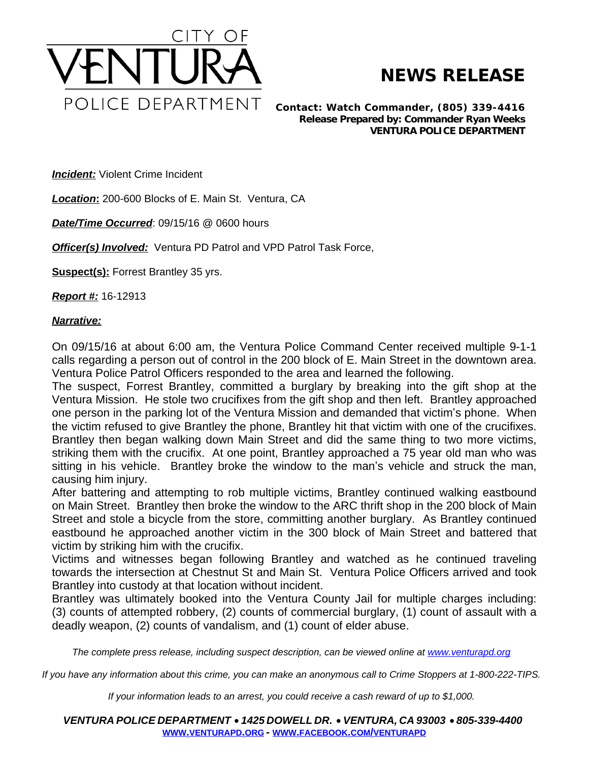

## **NEWS RELEASE**

*Contact: Watch Commander, (805) 339-4416 Release Prepared by: Commander Ryan Weeks* **VENTURA POLICE DEPARTMENT**

**Incident:** Violent Crime Incident

*Location***:** 200-600 Blocks of E. Main St. Ventura, CA

*Date/Time Occurred*: 09/15/16 @ 0600 hours

*Officer(s) Involved: Ventura PD Patrol and VPD Patrol Task Force,* 

**Suspect(s):** Forrest Brantley 35 yrs.

*Report #:* 16-12913

## *Narrative:*

On 09/15/16 at about 6:00 am, the Ventura Police Command Center received multiple 9-1-1 calls regarding a person out of control in the 200 block of E. Main Street in the downtown area. Ventura Police Patrol Officers responded to the area and learned the following.

The suspect, Forrest Brantley, committed a burglary by breaking into the gift shop at the Ventura Mission. He stole two crucifixes from the gift shop and then left. Brantley approached one person in the parking lot of the Ventura Mission and demanded that victim's phone. When the victim refused to give Brantley the phone, Brantley hit that victim with one of the crucifixes. Brantley then began walking down Main Street and did the same thing to two more victims, striking them with the crucifix. At one point, Brantley approached a 75 year old man who was sitting in his vehicle. Brantley broke the window to the man's vehicle and struck the man, causing him injury.

After battering and attempting to rob multiple victims, Brantley continued walking eastbound on Main Street. Brantley then broke the window to the ARC thrift shop in the 200 block of Main Street and stole a bicycle from the store, committing another burglary. As Brantley continued eastbound he approached another victim in the 300 block of Main Street and battered that victim by striking him with the crucifix.

Victims and witnesses began following Brantley and watched as he continued traveling towards the intersection at Chestnut St and Main St. Ventura Police Officers arrived and took Brantley into custody at that location without incident.

Brantley was ultimately booked into the Ventura County Jail for multiple charges including: (3) counts of attempted robbery, (2) counts of commercial burglary, (1) count of assault with a deadly weapon, (2) counts of vandalism, and (1) count of elder abuse.

The complete press release, including suspect description, can be viewed online at [www.venturapd.org](http://www.venturapd.org)

*If you have any information about this crime, you can make an anonymous call to Crime Stoppers at 1-800-222-TIPS.*

*If your information leads to an arrest, you could receive a cash reward of up to \$1,000.*

*VENTURA POLICE DEPARTMENT* · *1425 DOWELL DR.* · *VENTURA, CA 93003* · *805-339-4400* **WWW.[VENTURAPD](http://www.venturapd.org).ORG** *-* **WWW.FACEBOOK.COM/[VENTURAPD](http://www.facebook.com/venturapd)**